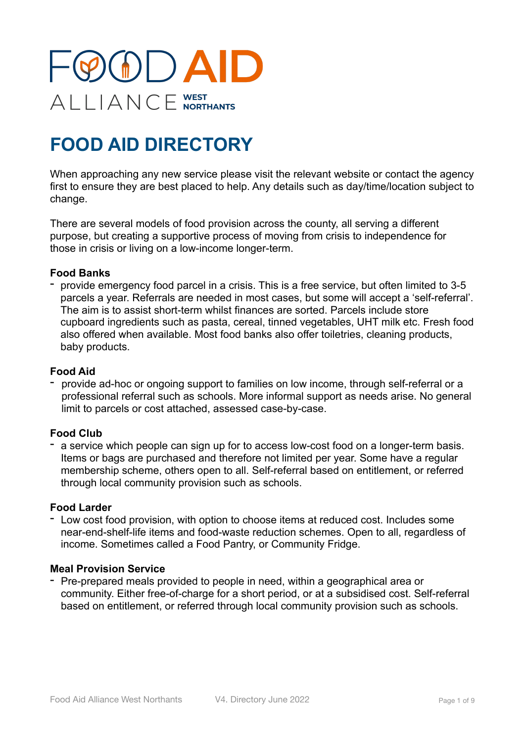

# **FOOD AID DIRECTORY**

When approaching any new service please visit the relevant website or contact the agency first to ensure they are best placed to help. Any details such as day/time/location subject to change.

There are several models of food provision across the county, all serving a different purpose, but creating a supportive process of moving from crisis to independence for those in crisis or living on a low-income longer-term.

### **Food Banks**

- provide emergency food parcel in a crisis. This is a free service, but often limited to 3-5 parcels a year. Referrals are needed in most cases, but some will accept a 'self-referral'. The aim is to assist short-term whilst finances are sorted. Parcels include store cupboard ingredients such as pasta, cereal, tinned vegetables, UHT milk etc. Fresh food also offered when available. Most food banks also offer toiletries, cleaning products, baby products.

### **Food Aid**

provide ad-hoc or ongoing support to families on low income, through self-referral or a professional referral such as schools. More informal support as needs arise. No general limit to parcels or cost attached, assessed case-by-case.

#### **Food Club**

- a service which people can sign up for to access low-cost food on a longer-term basis. Items or bags are purchased and therefore not limited per year. Some have a regular membership scheme, others open to all. Self-referral based on entitlement, or referred through local community provision such as schools.

#### **Food Larder**

- Low cost food provision, with option to choose items at reduced cost. Includes some near-end-shelf-life items and food-waste reduction schemes. Open to all, regardless of income. Sometimes called a Food Pantry, or Community Fridge.

#### **Meal Provision Service**

Pre-prepared meals provided to people in need, within a geographical area or community. Either free-of-charge for a short period, or at a subsidised cost. Self-referral based on entitlement, or referred through local community provision such as schools.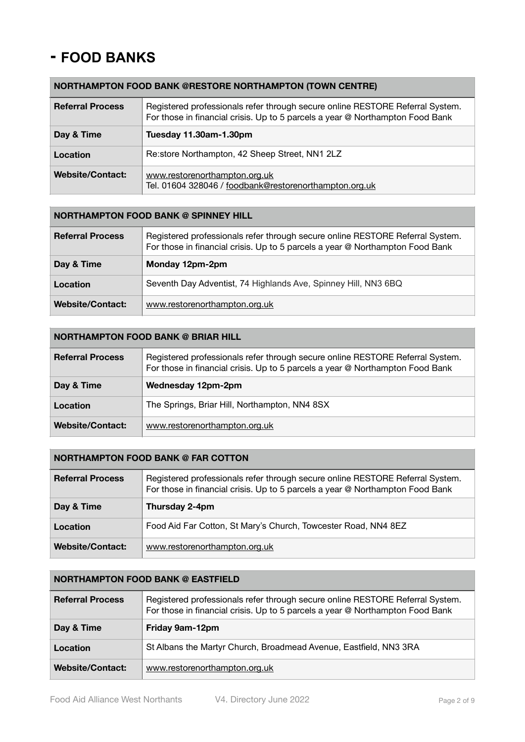## **- FOOD BANKS**

## **NORTHAMPTON FOOD BANK @RESTORE NORTHAMPTON (TOWN CENTRE)**

| <b>Referral Process</b> | Registered professionals refer through secure online RESTORE Referral System.<br>For those in financial crisis. Up to 5 parcels a year @ Northampton Food Bank |
|-------------------------|----------------------------------------------------------------------------------------------------------------------------------------------------------------|
| Day & Time              | Tuesday 11.30am-1.30pm                                                                                                                                         |
| Location                | Re:store Northampton, 42 Sheep Street, NN1 2LZ                                                                                                                 |
| <b>Website/Contact:</b> | www.restorenorthampton.org.uk<br>Tel. 01604 328046 / foodbank@restorenorthampton.org.uk                                                                        |

#### **NORTHAMPTON FOOD BANK @ SPINNEY HILL**

| <b>Referral Process</b> | Registered professionals refer through secure online RESTORE Referral System.<br>For those in financial crisis. Up to 5 parcels a year @ Northampton Food Bank |
|-------------------------|----------------------------------------------------------------------------------------------------------------------------------------------------------------|
| Day & Time              | Monday 12pm-2pm                                                                                                                                                |
| Location                | Seventh Day Adventist, 74 Highlands Ave, Spinney Hill, NN3 6BQ                                                                                                 |
| <b>Website/Contact:</b> | www.restorenorthampton.org.uk                                                                                                                                  |

#### **NORTHAMPTON FOOD BANK @ BRIAR HILL**

| <b>Referral Process</b> | Registered professionals refer through secure online RESTORE Referral System.<br>For those in financial crisis. Up to 5 parcels a year @ Northampton Food Bank |
|-------------------------|----------------------------------------------------------------------------------------------------------------------------------------------------------------|
| Day & Time              | Wednesday 12pm-2pm                                                                                                                                             |
| Location                | The Springs, Briar Hill, Northampton, NN4 8SX                                                                                                                  |
| <b>Website/Contact:</b> | www.restorenorthampton.org.uk                                                                                                                                  |

#### **NORTHAMPTON FOOD BANK @ FAR COTTON**

| <b>Referral Process</b> | Registered professionals refer through secure online RESTORE Referral System.<br>For those in financial crisis. Up to 5 parcels a year @ Northampton Food Bank |
|-------------------------|----------------------------------------------------------------------------------------------------------------------------------------------------------------|
| Day & Time              | Thursday 2-4pm                                                                                                                                                 |
| Location                | Food Aid Far Cotton, St Mary's Church, Towcester Road, NN4 8EZ                                                                                                 |
| <b>Website/Contact:</b> | www.restorenorthampton.org.uk                                                                                                                                  |

#### **NORTHAMPTON FOOD BANK @ EASTFIELD**

| <b>Referral Process</b> | Registered professionals refer through secure online RESTORE Referral System.<br>For those in financial crisis. Up to 5 parcels a year @ Northampton Food Bank |
|-------------------------|----------------------------------------------------------------------------------------------------------------------------------------------------------------|
| Day & Time              | Friday 9am-12pm                                                                                                                                                |
| Location                | St Albans the Martyr Church, Broadmead Avenue, Eastfield, NN3 3RA                                                                                              |
| <b>Website/Contact:</b> | www.restorenorthampton.org.uk                                                                                                                                  |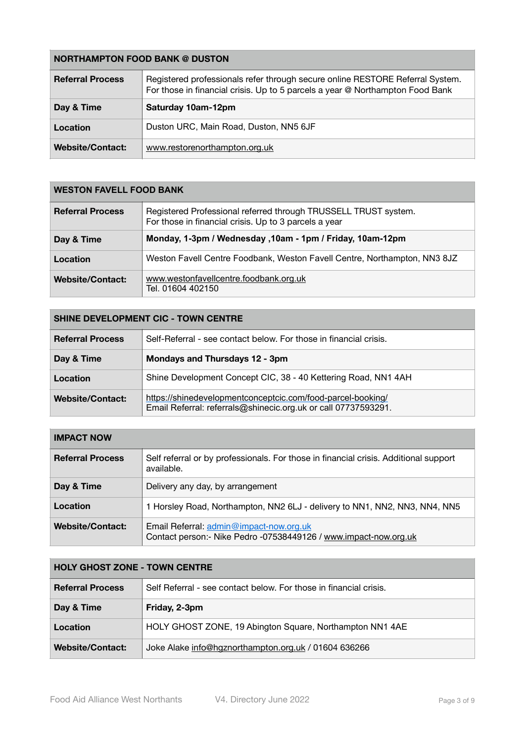| <b>NORTHAMPTON FOOD BANK @ DUSTON</b> |                                                                                                                                                                |
|---------------------------------------|----------------------------------------------------------------------------------------------------------------------------------------------------------------|
| <b>Referral Process</b>               | Registered professionals refer through secure online RESTORE Referral System.<br>For those in financial crisis. Up to 5 parcels a year @ Northampton Food Bank |
| Day & Time                            | Saturday 10am-12pm                                                                                                                                             |
| Location                              | Duston URC, Main Road, Duston, NN5 6JF                                                                                                                         |
| <b>Website/Contact:</b>               | www.restorenorthampton.org.uk                                                                                                                                  |

## **WESTON FAVELL FOOD BANK**

| <b>Referral Process</b> | Registered Professional referred through TRUSSELL TRUST system.<br>For those in financial crisis. Up to 3 parcels a year |
|-------------------------|--------------------------------------------------------------------------------------------------------------------------|
| Day & Time              | Monday, 1-3pm / Wednesday , 10am - 1pm / Friday, 10am-12pm                                                               |
| Location                | Weston Favell Centre Foodbank, Weston Favell Centre, Northampton, NN3 8JZ                                                |
| <b>Website/Contact:</b> | www.westonfavellcentre.foodbank.org.uk<br>Tel. 01604 402150                                                              |

| <b>SHINE DEVELOPMENT CIC - TOWN CENTRE</b> |                                                                                                                               |
|--------------------------------------------|-------------------------------------------------------------------------------------------------------------------------------|
| <b>Referral Process</b>                    | Self-Referral - see contact below. For those in financial crisis.                                                             |
| Day & Time                                 | Mondays and Thursdays 12 - 3pm                                                                                                |
| Location                                   | Shine Development Concept CIC, 38 - 40 Kettering Road, NN1 4AH                                                                |
| <b>Website/Contact:</b>                    | https://shinedevelopmentconceptcic.com/food-parcel-booking/<br>Email Referral: referrals@shinecic.org.uk or call 07737593291. |

| <b>IMPACT NOW</b>       |                                                                                                             |
|-------------------------|-------------------------------------------------------------------------------------------------------------|
| <b>Referral Process</b> | Self referral or by professionals. For those in financial crisis. Additional support<br>available.          |
| Day & Time              | Delivery any day, by arrangement                                                                            |
| Location                | 1 Horsley Road, Northampton, NN2 6LJ - delivery to NN1, NN2, NN3, NN4, NN5                                  |
| <b>Website/Contact:</b> | Email Referral: admin@impact-now.org.uk<br>Contact person:- Nike Pedro -07538449126 / www.impact-now.org.uk |

| <b>HOLY GHOST ZONE - TOWN CENTRE</b> |                                                                   |
|--------------------------------------|-------------------------------------------------------------------|
| <b>Referral Process</b>              | Self Referral - see contact below. For those in financial crisis. |
| Day & Time                           | Friday, 2-3pm                                                     |
| Location                             | HOLY GHOST ZONE, 19 Abington Square, Northampton NN1 4AE          |
| <b>Website/Contact:</b>              | Joke Alake info@hgznorthampton.org.uk / 01604 636266              |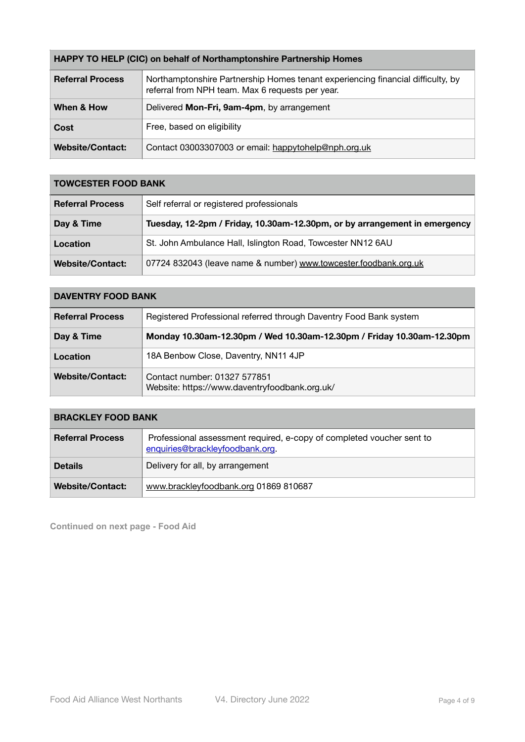| <b>HAPPY TO HELP (CIC) on behalf of Northamptonshire Partnership Homes</b> |                                                                                                                                     |
|----------------------------------------------------------------------------|-------------------------------------------------------------------------------------------------------------------------------------|
| <b>Referral Process</b>                                                    | Northamptonshire Partnership Homes tenant experiencing financial difficulty, by<br>referral from NPH team. Max 6 requests per year. |
| When & How                                                                 | Delivered Mon-Fri, 9am-4pm, by arrangement                                                                                          |
| Cost                                                                       | Free, based on eligibility                                                                                                          |
| <b>Website/Contact:</b>                                                    | Contact 03003307003 or email: happytohelp@nph.org.uk                                                                                |

| <b>TOWCESTER FOOD BANK</b> |                                                                           |
|----------------------------|---------------------------------------------------------------------------|
| <b>Referral Process</b>    | Self referral or registered professionals                                 |
| Day & Time                 | Tuesday, 12-2pm / Friday, 10.30am-12.30pm, or by arrangement in emergency |
| Location                   | St. John Ambulance Hall, Islington Road, Towcester NN12 6AU               |
| <b>Website/Contact:</b>    | 07724 832043 (leave name & number) www.towcester.foodbank.org.uk          |

| <b>DAVENTRY FOOD BANK</b> |                                                                               |
|---------------------------|-------------------------------------------------------------------------------|
| <b>Referral Process</b>   | Registered Professional referred through Daventry Food Bank system            |
| Day & Time                | Monday 10.30am-12.30pm / Wed 10.30am-12.30pm / Friday 10.30am-12.30pm         |
| Location                  | 18A Benbow Close, Daventry, NN11 4JP                                          |
| <b>Website/Contact:</b>   | Contact number: 01327 577851<br>Website: https://www.daventryfoodbank.org.uk/ |

## **BRACKLEY FOOD BANK**

| <b>Referral Process</b> | Professional assessment required, e-copy of completed voucher sent to<br>enquiries@brackleyfoodbank.org |
|-------------------------|---------------------------------------------------------------------------------------------------------|
| <b>Details</b>          | Delivery for all, by arrangement                                                                        |
| <b>Website/Contact:</b> | www.brackleyfoodbank.org 01869 810687                                                                   |

**Continued on next page - Food Aid**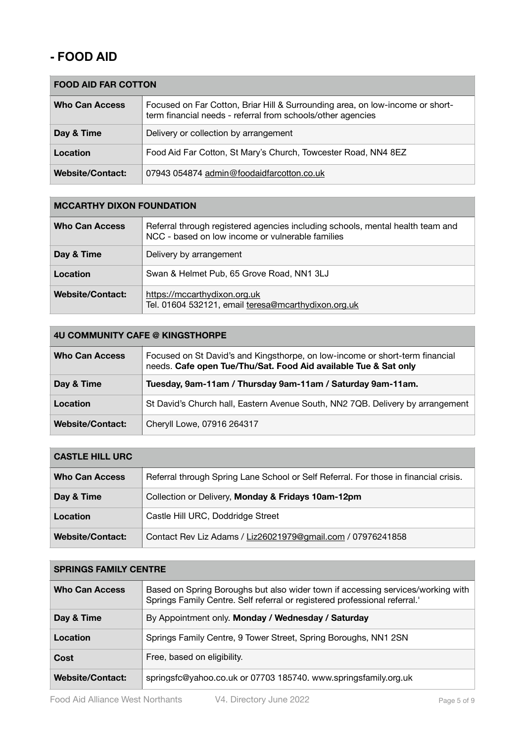## **- FOOD AID**

| <b>FOOD AID FAR COTTON</b> |                                                                                                                                              |
|----------------------------|----------------------------------------------------------------------------------------------------------------------------------------------|
| <b>Who Can Access</b>      | Focused on Far Cotton, Briar Hill & Surrounding area, on low-income or short-<br>term financial needs - referral from schools/other agencies |
| Day & Time                 | Delivery or collection by arrangement                                                                                                        |
| Location                   | Food Aid Far Cotton, St Mary's Church, Towcester Road, NN4 8EZ                                                                               |
| <b>Website/Contact:</b>    | 07943 054874 admin@foodaidfarcotton.co.uk                                                                                                    |

### **MCCARTHY DIXON FOUNDATION**

| <b>Who Can Access</b>   | Referral through registered agencies including schools, mental health team and<br>NCC - based on low income or vulnerable families |
|-------------------------|------------------------------------------------------------------------------------------------------------------------------------|
| Day & Time              | Delivery by arrangement                                                                                                            |
| Location                | Swan & Helmet Pub, 65 Grove Road, NN1 3LJ                                                                                          |
| <b>Website/Contact:</b> | https://mccarthydixon.org.uk<br>Tel. 01604 532121, email teresa@mcarthydixon.org.uk                                                |

#### **4U COMMUNITY CAFE @ KINGSTHORPE**

| <b>Who Can Access</b>   | Focused on St David's and Kingsthorpe, on low-income or short-term financial<br>needs. Cafe open Tue/Thu/Sat. Food Aid available Tue & Sat only |
|-------------------------|-------------------------------------------------------------------------------------------------------------------------------------------------|
| Day & Time              | Tuesday, 9am-11am / Thursday 9am-11am / Saturday 9am-11am.                                                                                      |
| Location                | St David's Church hall, Eastern Avenue South, NN2 7QB. Delivery by arrangement                                                                  |
| <b>Website/Contact:</b> | Cheryll Lowe, 07916 264317                                                                                                                      |

## **CASTLE HILL URC**

| <b>Who Can Access</b>   | Referral through Spring Lane School or Self Referral. For those in financial crisis. |
|-------------------------|--------------------------------------------------------------------------------------|
| Day & Time              | Collection or Delivery, Monday & Fridays 10am-12pm                                   |
| Location                | Castle Hill URC, Doddridge Street                                                    |
| <b>Website/Contact:</b> | Contact Rev Liz Adams / Liz26021979@gmail.com / 07976241858                          |

#### **SPRINGS FAMILY CENTRE**

| <b>Who Can Access</b>   | Based on Spring Boroughs but also wider town if accessing services/working with<br>Springs Family Centre. Self referral or registered professional referral." |
|-------------------------|---------------------------------------------------------------------------------------------------------------------------------------------------------------|
| Day & Time              | By Appointment only. Monday / Wednesday / Saturday                                                                                                            |
| Location                | Springs Family Centre, 9 Tower Street, Spring Boroughs, NN1 2SN                                                                                               |
| Cost                    | Free, based on eligibility.                                                                                                                                   |
| <b>Website/Contact:</b> | springsfc@yahoo.co.uk or 07703 185740. www.springsfamily.org.uk                                                                                               |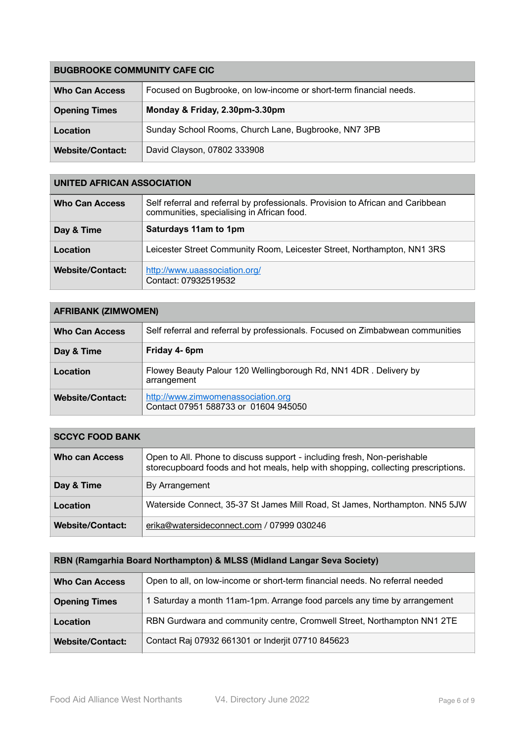| <b>BUGBROOKE COMMUNITY CAFE CIC</b> |                                                                    |
|-------------------------------------|--------------------------------------------------------------------|
| <b>Who Can Access</b>               | Focused on Bugbrooke, on low-income or short-term financial needs. |
| <b>Opening Times</b>                | Monday & Friday, 2.30pm-3.30pm                                     |
| Location                            | Sunday School Rooms, Church Lane, Bugbrooke, NN7 3PB               |
| <b>Website/Contact:</b>             | David Clayson, 07802 333908                                        |

#### **UNITED AFRICAN ASSOCIATION**

| <b>Who Can Access</b>   | Self referral and referral by professionals. Provision to African and Caribbean<br>communities, specialising in African food. |
|-------------------------|-------------------------------------------------------------------------------------------------------------------------------|
| Day & Time              | Saturdays 11am to 1pm                                                                                                         |
| Location                | Leicester Street Community Room, Leicester Street, Northampton, NN1 3RS                                                       |
| <b>Website/Contact:</b> | http://www.uaassociation.org/<br>Contact: 07932519532                                                                         |

## **AFRIBANK (ZIMWOMEN)**

| <b>Who Can Access</b>   | Self referral and referral by professionals. Focused on Zimbabwean communities  |
|-------------------------|---------------------------------------------------------------------------------|
| Day & Time              | Friday 4- 6pm                                                                   |
| Location                | Flowey Beauty Palour 120 Wellingborough Rd, NN1 4DR. Delivery by<br>arrangement |
| <b>Website/Contact:</b> | http://www.zimwomenassociation.org<br>Contact 07951 588733 or 01604 945050      |

## **SCCYC FOOD BANK**

| Who can Access          | Open to All. Phone to discuss support - including fresh, Non-perishable<br>storecupboard foods and hot meals, help with shopping, collecting prescriptions. |
|-------------------------|-------------------------------------------------------------------------------------------------------------------------------------------------------------|
| Day & Time              | By Arrangement                                                                                                                                              |
| Location                | Waterside Connect, 35-37 St James Mill Road, St James, Northampton. NN5 5JW                                                                                 |
| <b>Website/Contact:</b> | erika@watersideconnect.com / 07999 030246                                                                                                                   |

## **RBN (Ramgarhia Board Northampton) & MLSS (Midland Langar Seva Society)**

| <b>Who Can Access</b>   | Open to all, on low-income or short-term financial needs. No referral needed |
|-------------------------|------------------------------------------------------------------------------|
| <b>Opening Times</b>    | 1 Saturday a month 11am-1pm. Arrange food parcels any time by arrangement    |
| Location                | RBN Gurdwara and community centre, Cromwell Street, Northampton NN1 2TE      |
| <b>Website/Contact:</b> | Contact Raj 07932 661301 or Inderjit 07710 845623                            |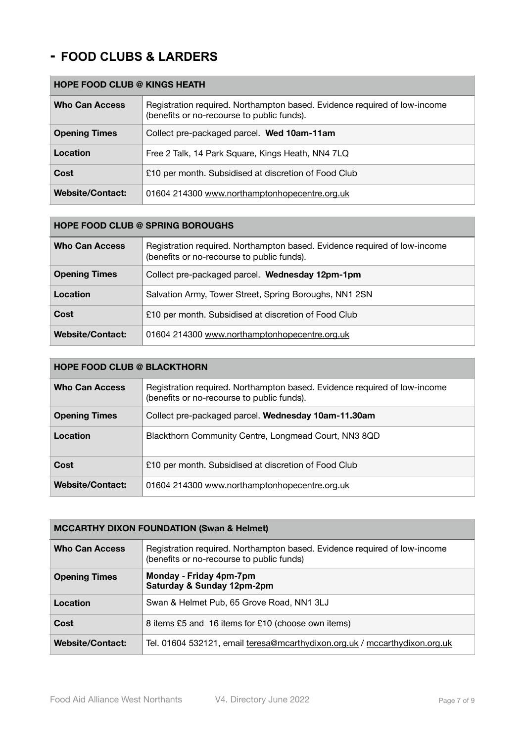## **- FOOD CLUBS & LARDERS**

## **HOPE FOOD CLUB @ KINGS HEATH** Who Can Access | Registration required. Northampton based. Evidence required of low-income (benefits or no-recourse to public funds). **Opening Times** Collect pre-packaged parcel. **Wed 10am-11am Location Free 2 Talk, 14 Park Square, Kings Heath, NN4 7LQ Cost** 210 per month. Subsidised at discretion of Food Club **Website/Contact:** 01604 214300 [www.northamptonhopecentre.org.uk](http://www.northamptonhopecentre.org.uk)

| <b>HOPE FOOD CLUB @ SPRING BOROUGHS</b> |                                                                                                                         |
|-----------------------------------------|-------------------------------------------------------------------------------------------------------------------------|
| <b>Who Can Access</b>                   | Registration required. Northampton based. Evidence required of low-income<br>(benefits or no-recourse to public funds). |
| <b>Opening Times</b>                    | Collect pre-packaged parcel. Wednesday 12pm-1pm                                                                         |
| Location                                | Salvation Army, Tower Street, Spring Boroughs, NN1 2SN                                                                  |
| Cost                                    | £10 per month. Subsidised at discretion of Food Club                                                                    |
| <b>Website/Contact:</b>                 | 01604 214300 www.northamptonhopecentre.org.uk                                                                           |

#### **HOPE FOOD CLUB @ BLACKTHORN**

| <b>Who Can Access</b>   | Registration required. Northampton based. Evidence required of low-income<br>(benefits or no-recourse to public funds). |
|-------------------------|-------------------------------------------------------------------------------------------------------------------------|
| <b>Opening Times</b>    | Collect pre-packaged parcel. Wednesday 10am-11.30am                                                                     |
| Location                | Blackthorn Community Centre, Longmead Court, NN3 8QD                                                                    |
| Cost                    | £10 per month. Subsidised at discretion of Food Club                                                                    |
| <b>Website/Contact:</b> | 01604 214300 www.northamptonhopecentre.org.uk                                                                           |

| <b>MCCARTHY DIXON FOUNDATION (Swan &amp; Helmet)</b> |                                                                                                                        |
|------------------------------------------------------|------------------------------------------------------------------------------------------------------------------------|
| <b>Who Can Access</b>                                | Registration required. Northampton based. Evidence required of low-income<br>(benefits or no-recourse to public funds) |
| <b>Opening Times</b>                                 | Monday - Friday 4pm-7pm<br>Saturday & Sunday 12pm-2pm                                                                  |
| Location                                             | Swan & Helmet Pub, 65 Grove Road, NN1 3LJ                                                                              |
| Cost                                                 | 8 items £5 and 16 items for £10 (choose own items)                                                                     |
| <b>Website/Contact:</b>                              | Tel. 01604 532121, email teresa@mcarthydixon.org.uk / mccarthydixon.org.uk                                             |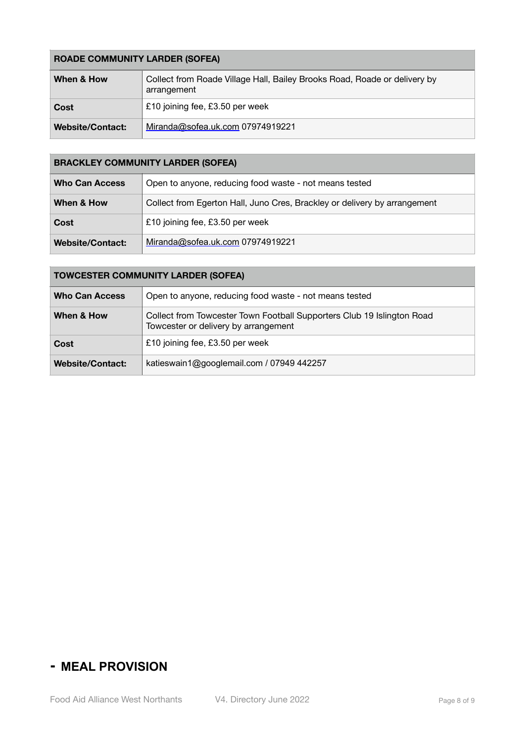### **ROADE COMMUNITY LARDER (SOFEA)**

| When & How              | Collect from Roade Village Hall, Bailey Brooks Road, Roade or delivery by<br>arrangement |
|-------------------------|------------------------------------------------------------------------------------------|
| Cost                    | £10 joining fee, £3.50 per week                                                          |
| <b>Website/Contact:</b> | Miranda@sofea.uk.com 07974919221                                                         |

## **BRACKLEY COMMUNITY LARDER (SOFEA)**

| <b>Who Can Access</b>   | Open to anyone, reducing food waste - not means tested                    |
|-------------------------|---------------------------------------------------------------------------|
| When & How              | Collect from Egerton Hall, Juno Cres, Brackley or delivery by arrangement |
| Cost                    | £10 joining fee, £3.50 per week                                           |
| <b>Website/Contact:</b> | Miranda@sofea.uk.com 07974919221                                          |

### **TOWCESTER COMMUNITY LARDER (SOFEA)**

| <b>Who Can Access</b>   | Open to anyone, reducing food waste - not means tested                                                         |
|-------------------------|----------------------------------------------------------------------------------------------------------------|
| When & How              | Collect from Towcester Town Football Supporters Club 19 Islington Road<br>Towcester or delivery by arrangement |
| Cost                    | £10 joining fee, £3.50 per week                                                                                |
| <b>Website/Contact:</b> | katieswain1@googlemail.com / 07949 442257                                                                      |

## **- MEAL PROVISION**